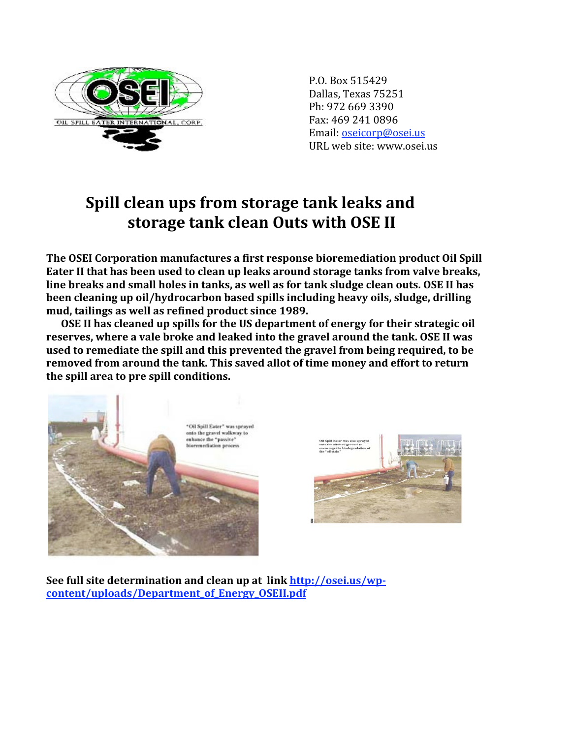

P.O.
Box
515429 Dallas,
Texas
75251 Ph:
972
669
3390 Fax:
469
241
0896 Email:
oseicorp@osei.us URL
web
site:
www.osei.us

## Spill clean ups from storage tank leaks and storage tank clean Outs with OSE II

The OSEI Corporation manufactures a first response bioremediation product Oil Spill Eater II that has been used to clean up leaks around storage tanks from valve breaks, line breaks and small holes in tanks, as well as for tank sludge clean outs. OSE II has been cleaning up oil/hydrocarbon based spills including heavy oils, sludge, drilling **mud,
tailings
as
well
as
refined
product
since
1989.** 

OSE II has cleaned up spills for the US department of energy for their strategic oil reserves, where a vale broke and leaked into the gravel around the tank. OSE II was used to remediate the spill and this prevented the gravel from being required, to be removed from around the tank. This saved allot of time money and effort to return **the
spill
area
to
pre
spill
conditions.** 





See full site determination and clean up at link http://osei.us/wp**content/uploads/Department\_of\_Energy\_OSEII.pdf**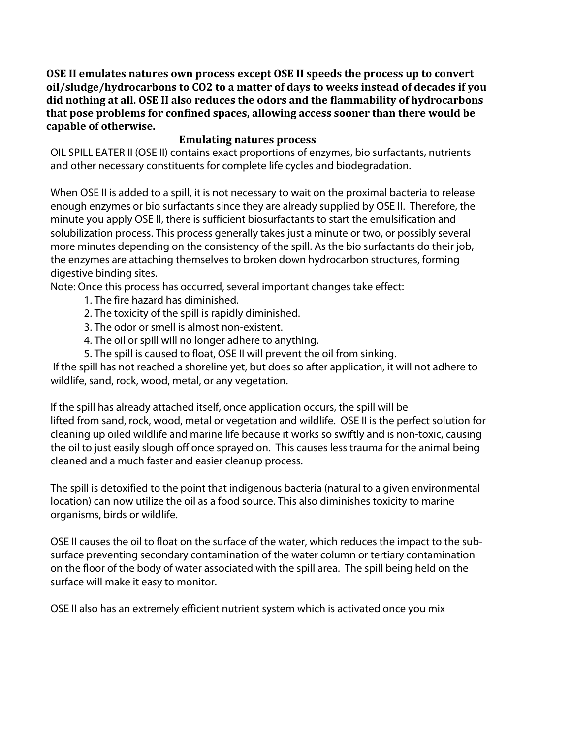OSE II emulates natures own process except OSE II speeds the process up to convert oil/sludge/hydrocarbons to CO2 to a matter of days to weeks instead of decades if you did nothing at all. OSE II also reduces the odors and the flammability of hydrocarbons **that
pose
problems
for
confined
spaces,
allowing
access
sooner
than
there
would
be capable
of
otherwise.** 

## **Emulating natures process**

OIL SPILL EATER II (OSE II) contains exact proportions of enzymes, bio surfactants, nutrients and other necessary constituents for complete life cycles and biodegradation.

When OSE II is added to a spill, it is not necessary to wait on the proximal bacteria to release enough enzymes or bio surfactants since they are already supplied by OSE II. Therefore, the minute you apply OSE II, there is sufficient biosurfactants to start the emulsification and solubilization process. This process generally takes just a minute or two, or possibly several more minutes depending on the consistency of the spill. As the bio surfactants do their job, the enzymes are attaching themselves to broken down hydrocarbon structures, forming digestive binding sites.

Note: Once this process has occurred, several important changes take effect:

- 1. The fire hazard has diminished.
- 2. The toxicity of the spill is rapidly diminished.
- 3. The odor or smell is almost non-existent.
- 4. The oil or spill will no longer adhere to anything.
- 5. The spill is caused to float, OSE II will prevent the oil from sinking.

If the spill has not reached a shoreline yet, but does so after application, it will not adhere to wildlife, sand, rock, wood, metal, or any vegetation.

If the spill has already attached itself, once application occurs, the spill will be lifted from sand, rock, wood, metal or vegetation and wildlife. OSE II is the perfect solution for cleaning up oiled wildlife and marine life because it works so swiftly and is non-toxic, causing the oil to just easily slough off once sprayed on. This causes less trauma for the animal being cleaned and a much faster and easier cleanup process.

The spill is detoxified to the point that indigenous bacteria (natural to a given environmental location) can now utilize the oil as a food source. This also diminishes toxicity to marine organisms, birds or wildlife.

OSE II causes the oil to float on the surface of the water, which reduces the impact to the subsurface preventing secondary contamination of the water column or tertiary contamination on the floor of the body of water associated with the spill area. The spill being held on the surface will make it easy to monitor.

OSE II also has an extremely efficient nutrient system which is activated once you mix